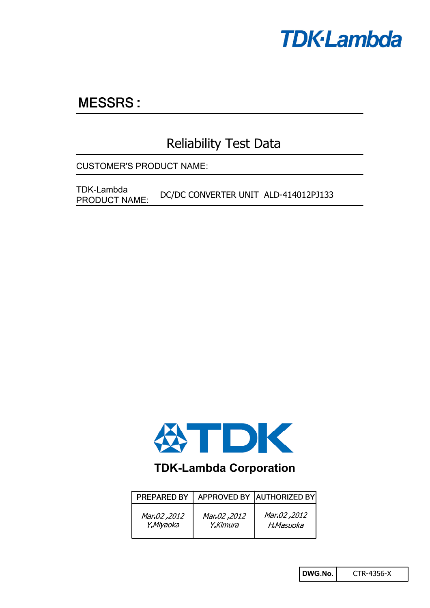

# **MESSRS:**

# Reliability Test Data

CUSTOMER'S PRODUCT NAME:

TDK-Lambda<br>
DC/DC CONVERTER UNIT ALD-414012PJ133 PRODUCT NAME:



### **TDK-Lambda Corporation**

| <b>PREPARED BY</b> |              | APPROVED BY AUTHORIZED BY |
|--------------------|--------------|---------------------------|
| 2012, Mar.02       | 2012, Mar.02 | 2012, Mar.02              |
| Y.Miyaoka          | Y.Kimura     | H.Masuoka                 |

**DWG.No.** CTR-4356-X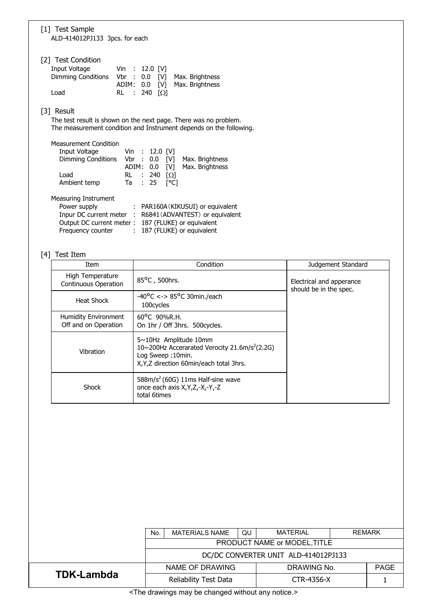| [1] Test Sample<br>ALD-414012PJ133 3pcs. for each                                                                                                                                                                                         |
|-------------------------------------------------------------------------------------------------------------------------------------------------------------------------------------------------------------------------------------------|
| [2] Test Condition<br>Input Voltage<br>Vin : 12.0 [V]<br>Dimming Conditions Vbr : 0.0 [V] Max. Brightness<br>ADIM: 0.0 [V] Max. Brightness<br>$RL$ : 240 $[Ω]$<br>Load                                                                    |
| [3] Result<br>The test result is shown on the next page. There was no problem.<br>The measurement condition and Instrument depends on the following.                                                                                      |
| <b>Measurement Condition</b><br>Input Voltage Vin : 12.0 [V]<br>Dimming Conditions Vbr : 0.0 [V] Max. Brightness<br>ADIM: 0.0 [V]<br>Max. Brightness<br>Load<br>RL : 240 $\Omega$<br>Ta : 25<br>$\lceil{^{\circ}C}\rceil$<br>Ambient temp |
| Measuring Instrument<br>Power supply<br>: PAR160A (KIKUSUI) or equivalent<br>Inpur DC current meter : R6841 (ADVANTEST) or equivalent<br>Output DC current meter: 187 (FLUKE) or equivalent                                               |

Frequency counter : 187 (FLUKE) or equivalent

#### [4] Test Item

| Item                                                | Condition                                                                                                                                                     | Judgement Standard                                 |
|-----------------------------------------------------|---------------------------------------------------------------------------------------------------------------------------------------------------------------|----------------------------------------------------|
| High Temperature<br><b>Continuous Operation</b>     | 85°C, 500hrs.                                                                                                                                                 | Electrical and apperance<br>should be in the spec. |
| Heat Shock                                          | $-40^{\circ}$ C <-> 85°C 30min./each<br>100cycles                                                                                                             |                                                    |
| <b>Humidity Environment</b><br>Off and on Operation | $60^{\circ}$ C 90%R.H.<br>On 1hr / Off 3hrs. 500 cycles.                                                                                                      |                                                    |
| Vibration                                           | $5 \sim 10$ Hz Amplitude 10mm<br>10~200Hz Accerarated Verocity 21.6m/s <sup>2</sup> (2.2G)<br>Log Sweep: 10min.<br>X, Y, Z direction 60 min/each total 3 hrs. |                                                    |
| Shock                                               | $588m/s2$ (60G) 11ms Half-sine wave<br>once each axis X, Y, Z, -X, -Y, -Z<br>total 6times                                                                     |                                                    |

|                                                                                                                   | <b>MATERIAL</b><br><b>REMARK</b><br>QU<br><b>MATERIALS NAME</b><br>No. |  |             |            |             |  |  |
|-------------------------------------------------------------------------------------------------------------------|------------------------------------------------------------------------|--|-------------|------------|-------------|--|--|
|                                                                                                                   | PRODUCT NAME or MODEL, TITLE                                           |  |             |            |             |  |  |
|                                                                                                                   | DC/DC CONVERTER UNIT ALD-414012PJ133                                   |  |             |            |             |  |  |
|                                                                                                                   | NAME OF DRAWING                                                        |  | DRAWING No. |            | <b>PAGE</b> |  |  |
| <b>TDK-Lambda</b>                                                                                                 | Reliability Test Data                                                  |  |             | CTR-4356-X |             |  |  |
| is The amendment of the contract of the second contract of the contract of the second second second second second |                                                                        |  |             |            |             |  |  |

<The drawings may be changed without any notice.>